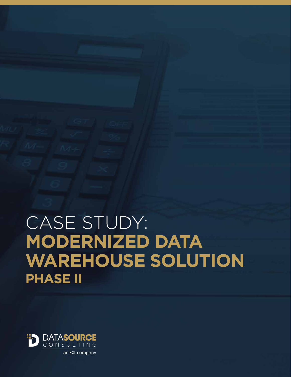# CASE STUDY: **MODERNIZED DATA WAREHOUSE SOLUTION PHASE II**

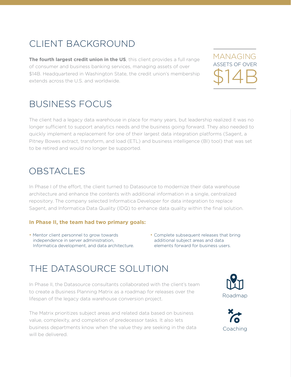## CLIENT BACKGROUND

**The fourth largest credit union in the US**, this client provides a full range of consumer and business banking services, managing assets of over \$14B. Headquartered in Washington State, the credit union's membership extends across the U.S. and worldwide.

MANAGING ASSETS OF OVER \$14B

#### BUSINESS FOCUS

The client had a legacy data warehouse in place for many years, but leadership realized it was no longer sufficient to support analytics needs and the business going forward. They also needed to quickly implement a replacement for one of their largest data integration platforms (Sagent, a Pitney Bowes extract, transform, and load (ETL) and business intelligence (BI) tool) that was set to be retired and would no longer be supported.

#### OBSTACLES

In Phase I of the effort, the client turned to Datasource to modernize their data warehouse architecture and enhance the contents with additional information in a single, centralized repository. The company selected Informatica Developer for data integration to replace Sagent, and Informatica Data Quality (IDQ) to enhance data quality within the final solution.

#### **In Phase II, the team had two primary goals:**

- Mentor client personnel to grow towards independence in server administration, Informatica development, and data architecture.
- Complete subsequent releases that bring additional subject areas and data elements forward for business users.

### THE DATASOURCE SOLUTION

In Phase II, the Datasource consultants collaborated with the client's team to create a Business Planning Matrix as a roadmap for releases over the lifespan of the legacy data warehouse conversion project.

The Matrix prioritizes subject areas and related data based on business value, complexity, and completion of predecessor tasks. It also lets business departments know when the value they are seeking in the data will be delivered.



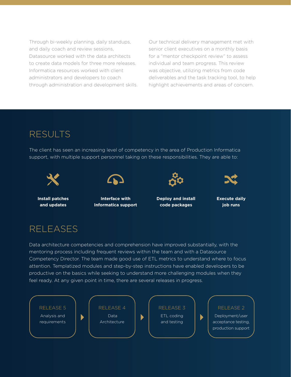Through bi-weekly planning, daily standups, and daily coach and review sessions, Datasource worked with the data architects to create data models for three more releases. Informatica resources worked with client administrators and developers to coach through administration and development skills.

Our technical delivery management met with senior client executives on a monthly basis for a "mentor checkpoint review" to assess individual and team progress. This review was objective, utilizing metrics from code deliverables and the task tracking tool, to help highlight achievements and areas of concern.

#### RESULTS

The client has seen an increasing level of competency in the area of Production Informatica support, with multiple support personnel taking on these responsibilities. They are able to:







**Install patches and updates**

**Interface with Informatica support** **Deploy and install code packages**



#### RELEASES

Data architecture competencies and comprehension have improved substantially, with the mentoring process including frequent reviews within the team and with a Datasource Competency Director. The team made good use of ETL metrics to understand where to focus attention. Templatized modules and step-by-step instructions have enabled developers to be productive on the basics while seeking to understand more challenging modules when they feel ready. At any given point in time, there are several releases in progress.